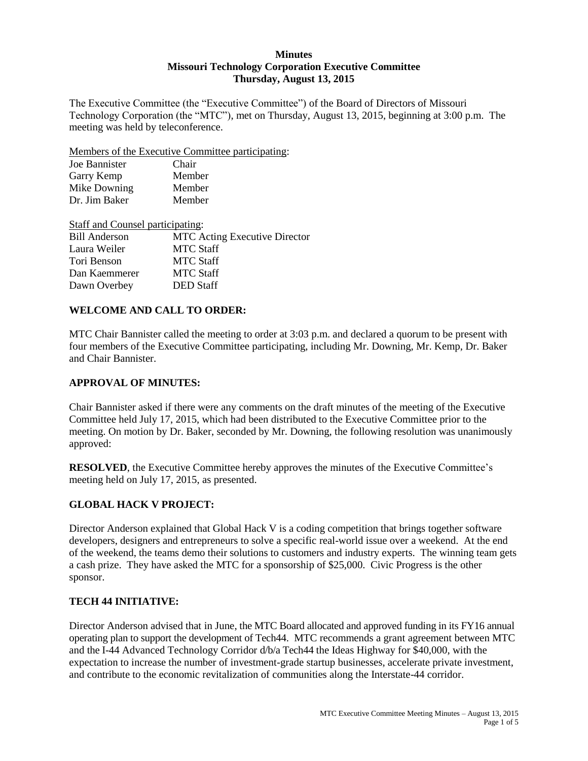### **Minutes Missouri Technology Corporation Executive Committee Thursday, August 13, 2015**

The Executive Committee (the "Executive Committee") of the Board of Directors of Missouri Technology Corporation (the "MTC"), met on Thursday, August 13, 2015, beginning at 3:00 p.m. The meeting was held by teleconference.

Members of the Executive Committee participating:

| Joe Bannister | Chair  |
|---------------|--------|
| Garry Kemp    | Member |
| Mike Downing  | Member |
| Dr. Jim Baker | Member |

Staff and Counsel participating: Bill Anderson MTC Acting Executive Director Laura Weiler MTC Staff Tori Benson MTC Staff Dan Kaemmerer MTC Staff Dawn Overbey DED Staff

## **WELCOME AND CALL TO ORDER:**

MTC Chair Bannister called the meeting to order at 3:03 p.m. and declared a quorum to be present with four members of the Executive Committee participating, including Mr. Downing, Mr. Kemp, Dr. Baker and Chair Bannister.

### **APPROVAL OF MINUTES:**

Chair Bannister asked if there were any comments on the draft minutes of the meeting of the Executive Committee held July 17, 2015, which had been distributed to the Executive Committee prior to the meeting. On motion by Dr. Baker, seconded by Mr. Downing, the following resolution was unanimously approved:

**RESOLVED**, the Executive Committee hereby approves the minutes of the Executive Committee's meeting held on July 17, 2015, as presented.

# **GLOBAL HACK V PROJECT:**

Director Anderson explained that Global Hack V is a coding competition that brings together software developers, designers and entrepreneurs to solve a specific real-world issue over a weekend. At the end of the weekend, the teams demo their solutions to customers and industry experts. The winning team gets a cash prize. They have asked the MTC for a sponsorship of \$25,000. Civic Progress is the other sponsor.

### **TECH 44 INITIATIVE:**

Director Anderson advised that in June, the MTC Board allocated and approved funding in its FY16 annual operating plan to support the development of Tech44. MTC recommends a grant agreement between MTC and the I-44 Advanced Technology Corridor d/b/a Tech44 the Ideas Highway for \$40,000, with the expectation to increase the number of investment-grade startup businesses, accelerate private investment, and contribute to the economic revitalization of communities along the Interstate-44 corridor.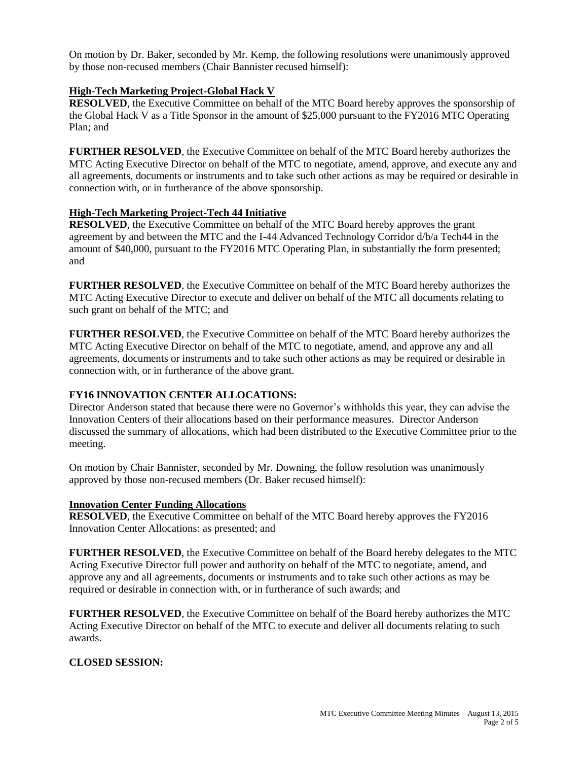On motion by Dr. Baker, seconded by Mr. Kemp, the following resolutions were unanimously approved by those non-recused members (Chair Bannister recused himself):

### **High-Tech Marketing Project-Global Hack V**

**RESOLVED**, the Executive Committee on behalf of the MTC Board hereby approves the sponsorship of the Global Hack V as a Title Sponsor in the amount of \$25,000 pursuant to the FY2016 MTC Operating Plan; and

**FURTHER RESOLVED**, the Executive Committee on behalf of the MTC Board hereby authorizes the MTC Acting Executive Director on behalf of the MTC to negotiate, amend, approve, and execute any and all agreements, documents or instruments and to take such other actions as may be required or desirable in connection with, or in furtherance of the above sponsorship.

### **High-Tech Marketing Project-Tech 44 Initiative**

**RESOLVED**, the Executive Committee on behalf of the MTC Board hereby approves the grant agreement by and between the MTC and the I-44 Advanced Technology Corridor d/b/a Tech44 in the amount of \$40,000, pursuant to the FY2016 MTC Operating Plan, in substantially the form presented; and

**FURTHER RESOLVED**, the Executive Committee on behalf of the MTC Board hereby authorizes the MTC Acting Executive Director to execute and deliver on behalf of the MTC all documents relating to such grant on behalf of the MTC; and

**FURTHER RESOLVED**, the Executive Committee on behalf of the MTC Board hereby authorizes the MTC Acting Executive Director on behalf of the MTC to negotiate, amend, and approve any and all agreements, documents or instruments and to take such other actions as may be required or desirable in connection with, or in furtherance of the above grant.

### **FY16 INNOVATION CENTER ALLOCATIONS:**

Director Anderson stated that because there were no Governor's withholds this year, they can advise the Innovation Centers of their allocations based on their performance measures. Director Anderson discussed the summary of allocations, which had been distributed to the Executive Committee prior to the meeting.

On motion by Chair Bannister, seconded by Mr. Downing, the follow resolution was unanimously approved by those non-recused members (Dr. Baker recused himself):

### **Innovation Center Funding Allocations**

**RESOLVED**, the Executive Committee on behalf of the MTC Board hereby approves the FY2016 Innovation Center Allocations: as presented; and

**FURTHER RESOLVED**, the Executive Committee on behalf of the Board hereby delegates to the MTC Acting Executive Director full power and authority on behalf of the MTC to negotiate, amend, and approve any and all agreements, documents or instruments and to take such other actions as may be required or desirable in connection with, or in furtherance of such awards; and

**FURTHER RESOLVED**, the Executive Committee on behalf of the Board hereby authorizes the MTC Acting Executive Director on behalf of the MTC to execute and deliver all documents relating to such awards.

### **CLOSED SESSION:**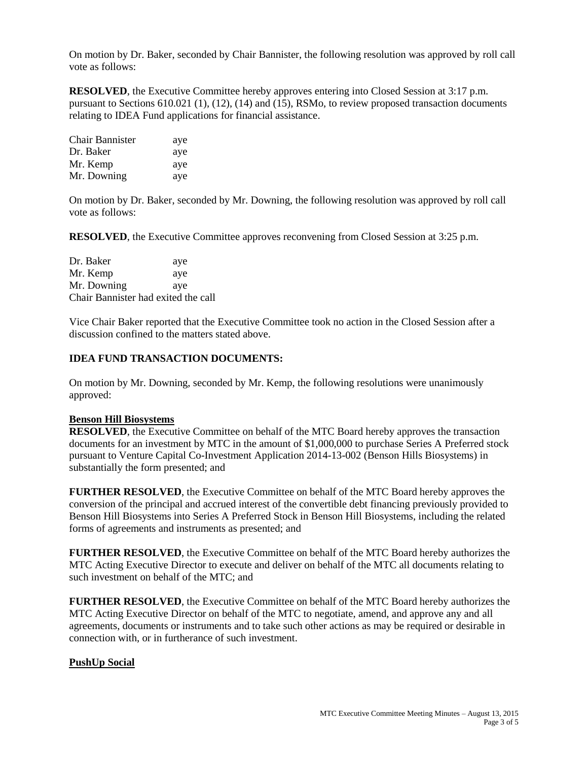On motion by Dr. Baker, seconded by Chair Bannister, the following resolution was approved by roll call vote as follows:

**RESOLVED**, the Executive Committee hereby approves entering into Closed Session at 3:17 p.m. pursuant to Sections 610.021 (1), (12), (14) and (15), RSMo, to review proposed transaction documents relating to IDEA Fund applications for financial assistance.

| <b>Chair Bannister</b> | aye |
|------------------------|-----|
| Dr. Baker              | aye |
| Mr. Kemp               | aye |
| Mr. Downing            | aye |

On motion by Dr. Baker, seconded by Mr. Downing, the following resolution was approved by roll call vote as follows:

**RESOLVED**, the Executive Committee approves reconvening from Closed Session at 3:25 p.m.

Dr. Baker aye Mr. Kemp aye Mr. Downing aye Chair Bannister had exited the call

Vice Chair Baker reported that the Executive Committee took no action in the Closed Session after a discussion confined to the matters stated above.

### **IDEA FUND TRANSACTION DOCUMENTS:**

On motion by Mr. Downing, seconded by Mr. Kemp, the following resolutions were unanimously approved:

#### **Benson Hill Biosystems**

**RESOLVED**, the Executive Committee on behalf of the MTC Board hereby approves the transaction documents for an investment by MTC in the amount of \$1,000,000 to purchase Series A Preferred stock pursuant to Venture Capital Co-Investment Application 2014-13-002 (Benson Hills Biosystems) in substantially the form presented; and

**FURTHER RESOLVED**, the Executive Committee on behalf of the MTC Board hereby approves the conversion of the principal and accrued interest of the convertible debt financing previously provided to Benson Hill Biosystems into Series A Preferred Stock in Benson Hill Biosystems, including the related forms of agreements and instruments as presented; and

**FURTHER RESOLVED**, the Executive Committee on behalf of the MTC Board hereby authorizes the MTC Acting Executive Director to execute and deliver on behalf of the MTC all documents relating to such investment on behalf of the MTC; and

**FURTHER RESOLVED**, the Executive Committee on behalf of the MTC Board hereby authorizes the MTC Acting Executive Director on behalf of the MTC to negotiate, amend, and approve any and all agreements, documents or instruments and to take such other actions as may be required or desirable in connection with, or in furtherance of such investment.

#### **PushUp Social**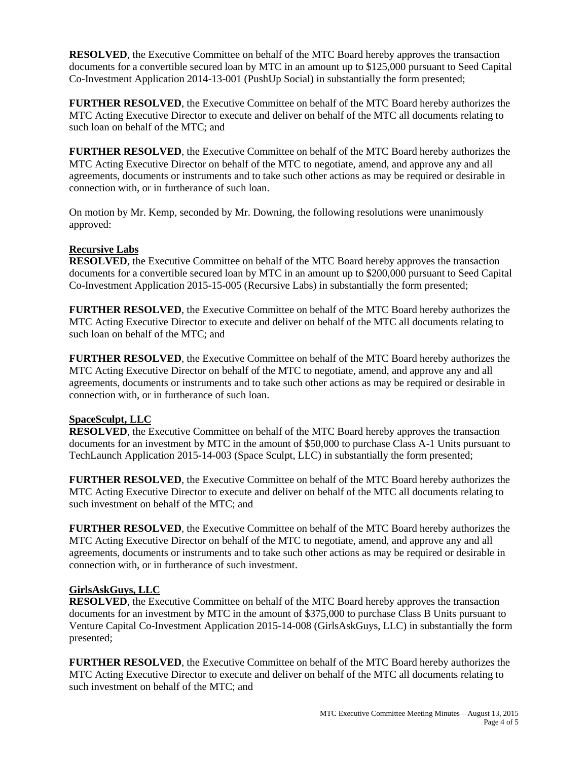**RESOLVED**, the Executive Committee on behalf of the MTC Board hereby approves the transaction documents for a convertible secured loan by MTC in an amount up to \$125,000 pursuant to Seed Capital Co-Investment Application 2014-13-001 (PushUp Social) in substantially the form presented;

**FURTHER RESOLVED**, the Executive Committee on behalf of the MTC Board hereby authorizes the MTC Acting Executive Director to execute and deliver on behalf of the MTC all documents relating to such loan on behalf of the MTC; and

**FURTHER RESOLVED**, the Executive Committee on behalf of the MTC Board hereby authorizes the MTC Acting Executive Director on behalf of the MTC to negotiate, amend, and approve any and all agreements, documents or instruments and to take such other actions as may be required or desirable in connection with, or in furtherance of such loan.

On motion by Mr. Kemp, seconded by Mr. Downing, the following resolutions were unanimously approved:

### **Recursive Labs**

**RESOLVED**, the Executive Committee on behalf of the MTC Board hereby approves the transaction documents for a convertible secured loan by MTC in an amount up to \$200,000 pursuant to Seed Capital Co-Investment Application 2015-15-005 (Recursive Labs) in substantially the form presented;

**FURTHER RESOLVED**, the Executive Committee on behalf of the MTC Board hereby authorizes the MTC Acting Executive Director to execute and deliver on behalf of the MTC all documents relating to such loan on behalf of the MTC; and

**FURTHER RESOLVED**, the Executive Committee on behalf of the MTC Board hereby authorizes the MTC Acting Executive Director on behalf of the MTC to negotiate, amend, and approve any and all agreements, documents or instruments and to take such other actions as may be required or desirable in connection with, or in furtherance of such loan.

## **SpaceSculpt, LLC**

**RESOLVED**, the Executive Committee on behalf of the MTC Board hereby approves the transaction documents for an investment by MTC in the amount of \$50,000 to purchase Class A-1 Units pursuant to TechLaunch Application 2015-14-003 (Space Sculpt, LLC) in substantially the form presented;

**FURTHER RESOLVED**, the Executive Committee on behalf of the MTC Board hereby authorizes the MTC Acting Executive Director to execute and deliver on behalf of the MTC all documents relating to such investment on behalf of the MTC; and

**FURTHER RESOLVED**, the Executive Committee on behalf of the MTC Board hereby authorizes the MTC Acting Executive Director on behalf of the MTC to negotiate, amend, and approve any and all agreements, documents or instruments and to take such other actions as may be required or desirable in connection with, or in furtherance of such investment.

### **GirlsAskGuys, LLC**

**RESOLVED**, the Executive Committee on behalf of the MTC Board hereby approves the transaction documents for an investment by MTC in the amount of \$375,000 to purchase Class B Units pursuant to Venture Capital Co-Investment Application 2015-14-008 (GirlsAskGuys, LLC) in substantially the form presented;

**FURTHER RESOLVED**, the Executive Committee on behalf of the MTC Board hereby authorizes the MTC Acting Executive Director to execute and deliver on behalf of the MTC all documents relating to such investment on behalf of the MTC; and